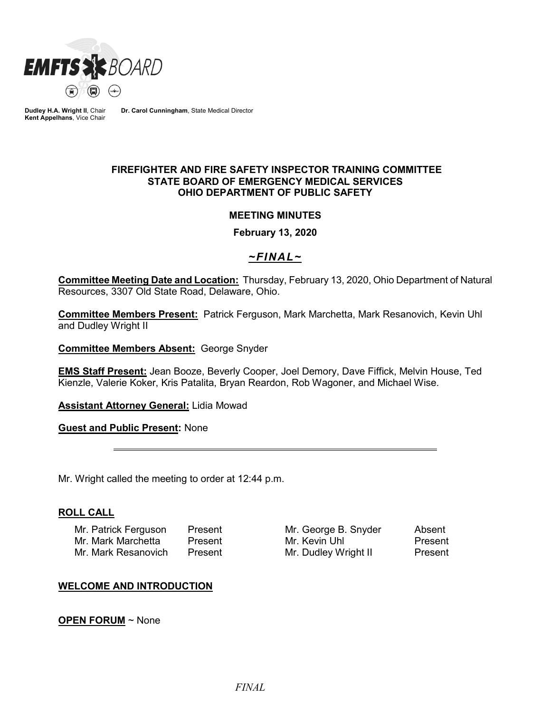

**Dudley H.A. Wright II**, Chair **Kent Appelhans**, Vice Chair

**Dr. Carol Cunningham**, State Medical Director

## **FIREFIGHTER AND FIRE SAFETY INSPECTOR TRAINING COMMITTEE STATE BOARD OF EMERGENCY MEDICAL SERVICES OHIO DEPARTMENT OF PUBLIC SAFETY**

## **MEETING MINUTES**

**February 13, 2020**

# *~FINAL~*

**Committee Meeting Date and Location:** Thursday, February 13, 2020, Ohio Department of Natural Resources, 3307 Old State Road, Delaware, Ohio.

**Committee Members Present:** Patrick Ferguson, Mark Marchetta, Mark Resanovich, Kevin Uhl and Dudley Wright II

**Committee Members Absent:** George Snyder

**EMS Staff Present:** Jean Booze, Beverly Cooper, Joel Demory, Dave Fiffick, Melvin House, Ted Kienzle, Valerie Koker, Kris Patalita, Bryan Reardon, Rob Wagoner, and Michael Wise.

**Assistant Attorney General:** Lidia Mowad

**Guest and Public Present:** None

Mr. Wright called the meeting to order at 12:44 p.m.

#### **ROLL CALL**

| Mr. Patrick Ferguson | Present |
|----------------------|---------|
| Mr. Mark Marchetta   | Present |
| Mr. Mark Resanovich  | Present |

Mr. George B. Snyder Absent Mr. Kevin Uhl Present Mr. Dudley Wright II Present

## **WELCOME AND INTRODUCTION**

**OPEN FORUM** ~ None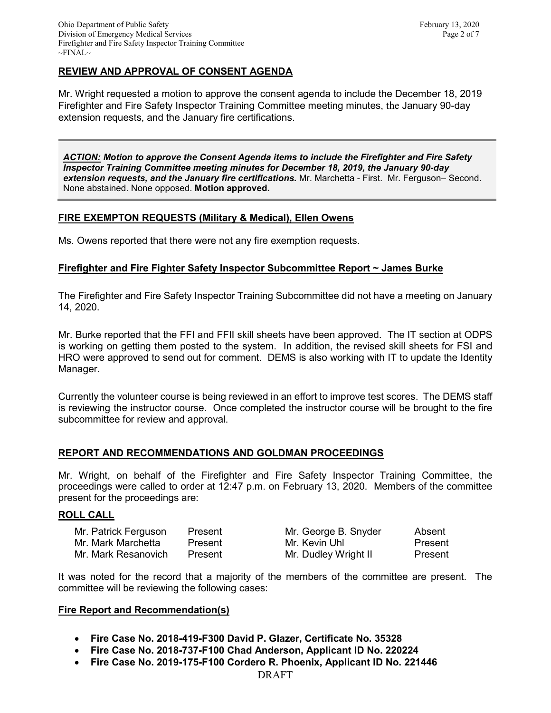Mr. Wright requested a motion to approve the consent agenda to include the December 18, 2019 Firefighter and Fire Safety Inspector Training Committee meeting minutes, the January 90-day extension requests, and the January fire certifications.

*ACTION: Motion to approve the Consent Agenda items to include the Firefighter and Fire Safety Inspector Training Committee meeting minutes for December 18, 2019, the January 90-day extension requests, and the January fire certifications.* Mr. Marchetta - First. Mr. Ferguson– Second. None abstained. None opposed. **Motion approved.**

## **FIRE EXEMPTON REQUESTS (Military & Medical), Ellen Owens**

Ms. Owens reported that there were not any fire exemption requests.

## **Firefighter and Fire Fighter Safety Inspector Subcommittee Report ~ James Burke**

The Firefighter and Fire Safety Inspector Training Subcommittee did not have a meeting on January 14, 2020.

Mr. Burke reported that the FFI and FFII skill sheets have been approved. The IT section at ODPS is working on getting them posted to the system. In addition, the revised skill sheets for FSI and HRO were approved to send out for comment. DEMS is also working with IT to update the Identity Manager.

Currently the volunteer course is being reviewed in an effort to improve test scores. The DEMS staff is reviewing the instructor course. Once completed the instructor course will be brought to the fire subcommittee for review and approval.

## **REPORT AND RECOMMENDATIONS AND GOLDMAN PROCEEDINGS**

Mr. Wright, on behalf of the Firefighter and Fire Safety Inspector Training Committee, the proceedings were called to order at 12:47 p.m. on February 13, 2020. Members of the committee present for the proceedings are:

#### **ROLL CALL**

| Mr. Patrick Ferguson | Present | Mr. George B. Snyder | Absent  |
|----------------------|---------|----------------------|---------|
| Mr. Mark Marchetta   | Present | Mr. Kevin Uhl        | Present |
| Mr. Mark Resanovich  | Present | Mr. Dudley Wright II | Present |

It was noted for the record that a majority of the members of the committee are present. The committee will be reviewing the following cases:

#### **Fire Report and Recommendation(s)**

- **Fire Case No. 2018-419-F300 David P. Glazer, Certificate No. 35328**
- **Fire Case No. 2018-737-F100 Chad Anderson, Applicant ID No. 220224**
- **Fire Case No. 2019-175-F100 Cordero R. Phoenix, Applicant ID No. 221446**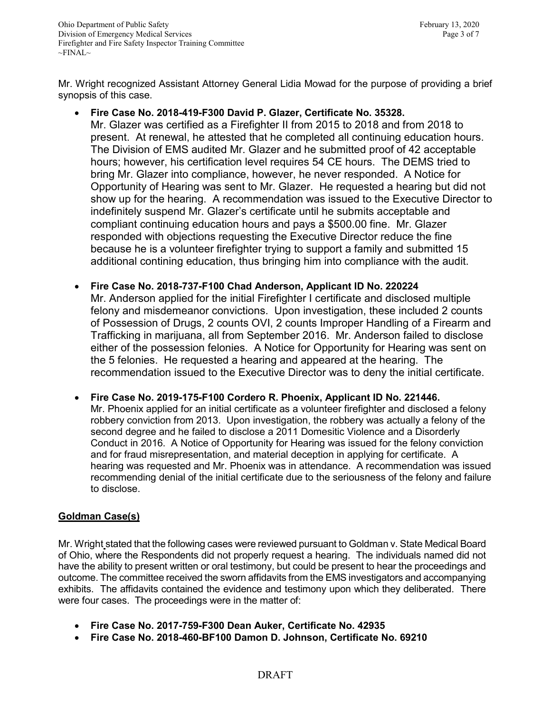Mr. Wright recognized Assistant Attorney General Lidia Mowad for the purpose of providing a brief synopsis of this case.

• **Fire Case No. 2018-419-F300 David P. Glazer, Certificate No. 35328.**

Mr. Glazer was certified as a Firefighter II from 2015 to 2018 and from 2018 to present. At renewal, he attested that he completed all continuing education hours. The Division of EMS audited Mr. Glazer and he submitted proof of 42 acceptable hours; however, his certification level requires 54 CE hours. The DEMS tried to bring Mr. Glazer into compliance, however, he never responded. A Notice for Opportunity of Hearing was sent to Mr. Glazer. He requested a hearing but did not show up for the hearing. A recommendation was issued to the Executive Director to indefinitely suspend Mr. Glazer's certificate until he submits acceptable and compliant continuing education hours and pays a \$500.00 fine. Mr. Glazer responded with objections requesting the Executive Director reduce the fine because he is a volunteer firefighter trying to support a family and submitted 15 additional contining education, thus bringing him into compliance with the audit.

- **Fire Case No. 2018-737-F100 Chad Anderson, Applicant ID No. 220224** Mr. Anderson applied for the initial Firefighter I certificate and disclosed multiple felony and misdemeanor convictions. Upon investigation, these included 2 counts of Possession of Drugs, 2 counts OVI, 2 counts Improper Handling of a Firearm and Trafficking in marijuana, all from September 2016. Mr. Anderson failed to disclose either of the possession felonies. A Notice for Opportunity for Hearing was sent on the 5 felonies. He requested a hearing and appeared at the hearing. The recommendation issued to the Executive Director was to deny the initial certificate.
- **Fire Case No. 2019-175-F100 Cordero R. Phoenix, Applicant ID No. 221446.** Mr. Phoenix applied for an initial certificate as a volunteer firefighter and disclosed a felony robbery conviction from 2013. Upon investigation, the robbery was actually a felony of the second degree and he failed to disclose a 2011 Domesitic Violence and a Disorderly Conduct in 2016. A Notice of Opportunity for Hearing was issued for the felony conviction and for fraud misrepresentation, and material deception in applying for certificate. A hearing was requested and Mr. Phoenix was in attendance. A recommendation was issued recommending denial of the initial certificate due to the seriousness of the felony and failure to disclose.

## **Goldman Case(s)**

Mr. Wright stated that the following cases were reviewed pursuant to Goldman v. State Medical Board of Ohio, where the Respondents did not properly request a hearing. The individuals named did not have the ability to present written or oral testimony, but could be present to hear the proceedings and outcome. The committee received the sworn affidavits from the EMS investigators and accompanying exhibits. The affidavits contained the evidence and testimony upon which they deliberated. There were four cases. The proceedings were in the matter of:

- **Fire Case No. 2017-759-F300 Dean Auker, Certificate No. 42935**
- **Fire Case No. 2018-460-BF100 Damon D. Johnson, Certificate No. 69210**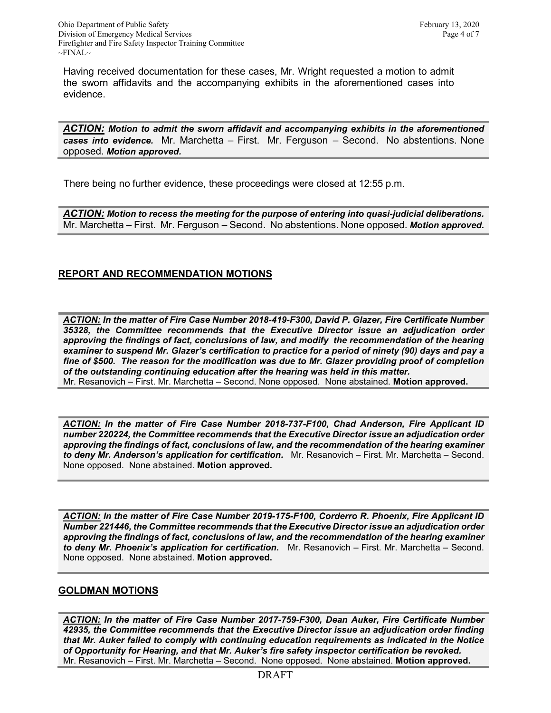Having received documentation for these cases, Mr. Wright requested a motion to admit the sworn affidavits and the accompanying exhibits in the aforementioned cases into evidence.

*ACTION: Motion to admit the sworn affidavit and accompanying exhibits in the aforementioned cases into evidence.* Mr. Marchetta – First. Mr. Ferguson – Second. No abstentions. None opposed. *Motion approved.* 

There being no further evidence, these proceedings were closed at 12:55 p.m.

*ACTION: Motion to recess the meeting for the purpose of entering into quasi-judicial deliberations.*  Mr. Marchetta – First. Mr. Ferguson – Second. No abstentions. None opposed. *Motion approved.* 

## **REPORT AND RECOMMENDATION MOTIONS**

*ACTION: In the matter of Fire Case Number 2018-419-F300, David P. Glazer, Fire Certificate Number 35328, the Committee recommends that the Executive Director issue an adjudication order approving the findings of fact, conclusions of law, and modify the recommendation of the hearing examiner to suspend Mr. Glazer's certification to practice for a period of ninety (90) days and pay a fine of \$500. The reason for the modification was due to Mr. Glazer providing proof of completion of the outstanding continuing education after the hearing was held in this matter.* Mr. Resanovich – First. Mr. Marchetta – Second. None opposed. None abstained. **Motion approved.** 

*ACTION: In the matter of Fire Case Number 2018-737-F100, Chad Anderson, Fire Applicant ID number 220224, the Committee recommends that the Executive Director issue an adjudication order approving the findings of fact, conclusions of law, and the recommendation of the hearing examiner to deny Mr. Anderson's application for certification.* Mr. Resanovich – First. Mr. Marchetta – Second. None opposed. None abstained. **Motion approved.** 

*ACTION: In the matter of Fire Case Number 2019-175-F100, Corderro R. Phoenix, Fire Applicant ID Number 221446, the Committee recommends that the Executive Director issue an adjudication order approving the findings of fact, conclusions of law, and the recommendation of the hearing examiner to deny Mr. Phoenix's application for certification.* Mr. Resanovich – First. Mr. Marchetta – Second. None opposed. None abstained. **Motion approved.** 

#### **GOLDMAN MOTIONS**

*ACTION: In the matter of Fire Case Number 2017-759-F300, Dean Auker, Fire Certificate Number 42935, the Committee recommends that the Executive Director issue an adjudication order finding that Mr. Auker failed to comply with continuing education requirements as indicated in the Notice of Opportunity for Hearing, and that Mr. Auker's fire safety inspector certification be revoked.*  Mr. Resanovich – First. Mr. Marchetta – Second. None opposed. None abstained. **Motion approved.**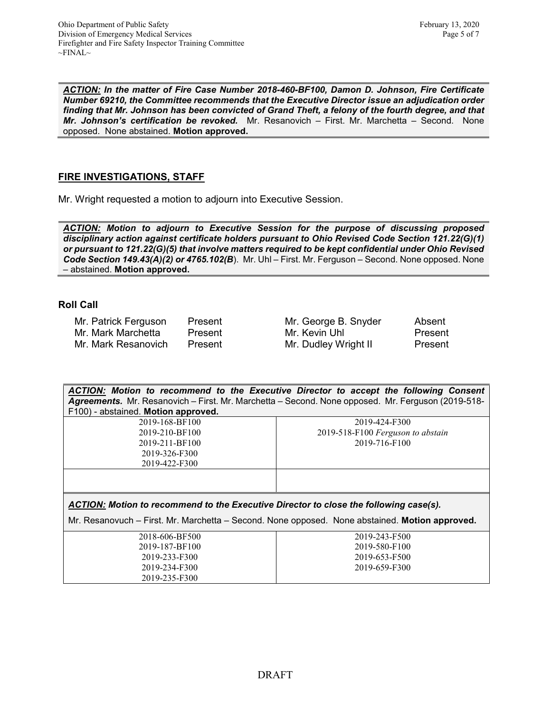*ACTION: In the matter of Fire Case Number 2018-460-BF100, Damon D. Johnson, Fire Certificate Number 69210, the Committee recommends that the Executive Director issue an adjudication order finding that Mr. Johnson has been convicted of Grand Theft, a felony of the fourth degree, and that Mr. Johnson's certification be revoked.* Mr. Resanovich – First. Mr. Marchetta – Second. None opposed. None abstained. **Motion approved.** 

## **FIRE INVESTIGATIONS, STAFF**

Mr. Wright requested a motion to adjourn into Executive Session.

*ACTION: Motion to adjourn to Executive Session for the purpose of discussing proposed disciplinary action against certificate holders pursuant to Ohio Revised Code Section 121.22(G)(1) or pursuant to 121.22(G)(5) that involve matters required to be kept confidential under Ohio Revised Code Section 149.43(A)(2) or 4765.102(B*). Mr. Uhl – First. Mr. Ferguson – Second. None opposed. None – abstained. **Motion approved.**

## **Roll Call**

| Mr. Patrick Ferguson | Present |
|----------------------|---------|
| Mr. Mark Marchetta   | Present |
| Mr. Mark Resanovich  | Present |

2019-422-F300

Mr. George B. Snyder Absent Mr. Kevin Uhl Present Mr. Dudley Wright II Present

| ACTION: Motion to recommend to the Executive Director to accept the following Consent             |                                   |
|---------------------------------------------------------------------------------------------------|-----------------------------------|
| Agreements. Mr. Resanovich – First. Mr. Marchetta – Second. None opposed. Mr. Ferguson (2019-518- |                                   |
| F100) - abstained. Motion approved.                                                               |                                   |
| 2019-168-BF100                                                                                    | 2019-424-F300                     |
| 2019-210-BF100                                                                                    | 2019-518-F100 Ferguson to abstain |
| 2019-211-BF100                                                                                    | 2019-716-F100                     |
| 2019-326-F300                                                                                     |                                   |

*ACTION: Motion to recommend to the Executive Director to close the following case(s).*

Mr. Resanovuch – First. Mr. Marchetta – Second. None opposed. None abstained. **Motion approved.**

| 2018-606-BF500 | 2019-243-F500 |
|----------------|---------------|
| 2019-187-BF100 | 2019-580-F100 |
| 2019-233-F300  | 2019-653-F500 |
| 2019-234-F300  | 2019-659-F300 |
| 2019-235-F300  |               |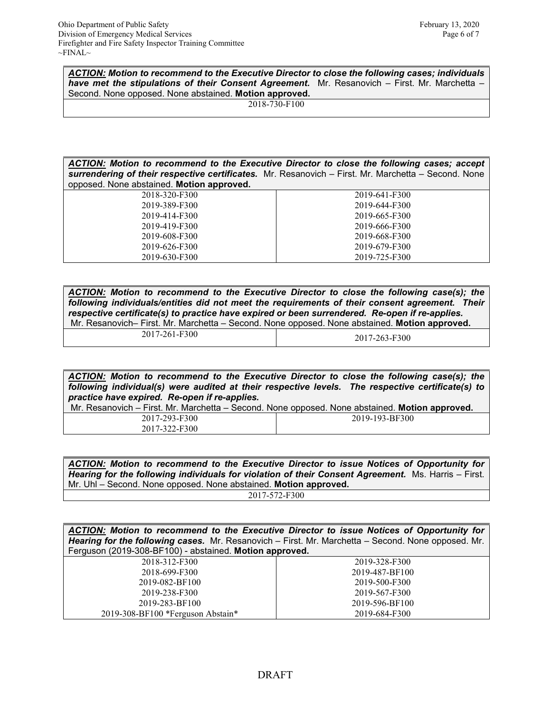*ACTION: Motion to recommend to the Executive Director to close the following cases; individuals have met the stipulations of their Consent Agreement.* Mr. Resanovich – First. Mr. Marchetta – Second. None opposed. None abstained. **Motion approved.**

2018-730-F100

*ACTION: Motion to recommend to the Executive Director to close the following cases; accept surrendering of their respective certificates.* Mr. Resanovich – First. Mr. Marchetta – Second. None opposed. None abstained. **Motion approved.**

2018-320-F300 2019-389-F300 2019-414-F300 2019-419-F300 2019-608-F300 2019-626-F300 2019-630-F300 2019-641-F300 2019-644-F300 2019-665-F300 2019-666-F300 2019-668-F300 2019-679-F300 2019-725-F300

*ACTION: Motion to recommend to the Executive Director to close the following case(s); the following individuals/entities did not meet the requirements of their consent agreement. Their respective certificate(s) to practice have expired or been surrendered. Re-open if re-applies.* Mr. Resanovich– First. Mr. Marchetta – Second. None opposed. None abstained. **Motion approved.**

2017-261-F300 2017-263-F300

*ACTION: Motion to recommend to the Executive Director to close the following case(s); the following individual(s) were audited at their respective levels. The respective certificate(s) to practice have expired. Re-open if re-applies.*

| Mr. Resanovich – First. Mr. Marchetta – Second. None opposed. None abstained. Motion approved. |                |
|------------------------------------------------------------------------------------------------|----------------|
| 2017-293-F300                                                                                  | 2019-193-BF300 |
| 2017-322-F300                                                                                  |                |

*ACTION: Motion to recommend to the Executive Director to issue Notices of Opportunity for Hearing for the following individuals for violation of their Consent Agreement.* Ms. Harris – First. Mr. Uhl – Second. None opposed. None abstained. **Motion approved.**

2017-572-F300

*ACTION: Motion to recommend to the Executive Director to issue Notices of Opportunity for Hearing for the following cases.* Mr. Resanovich – First. Mr. Marchetta – Second. None opposed. Mr. Ferguson (2019-308-BF100) - abstained. **Motion approved.**

| 2018-312-F300                     | 2019-328-F300  |
|-----------------------------------|----------------|
| 2018-699-F300                     | 2019-487-BF100 |
| 2019-082-BF100                    | 2019-500-F300  |
| 2019-238-F300                     | 2019-567-F300  |
| 2019-283-BF100                    | 2019-596-BF100 |
| 2019-308-BF100 *Ferguson Abstain* | 2019-684-F300  |